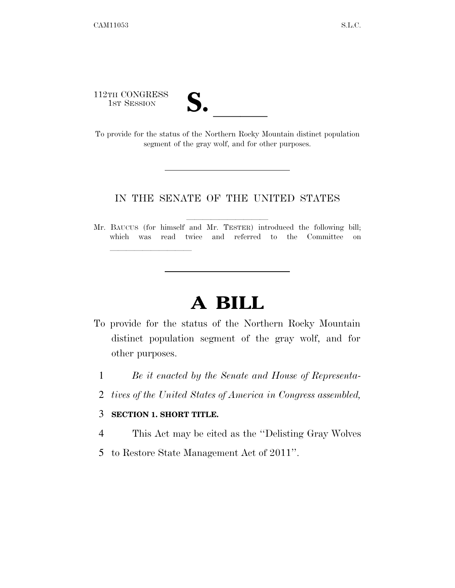112TH CONGRESS

| "∙<br>$\bullet$ |  |
|-----------------|--|
|                 |  |

112TH CONGRESS<br>
1ST SESSION<br>
To provide for the status of the Northern Rocky Mountain distinct population segment of the gray wolf, and for other purposes.

## IN THE SENATE OF THE UNITED STATES

Mr. BAUCUS (for himself and Mr. TESTER) introduced the following bill; which was read twice and referred to the Committee on

## **A BILL**

- To provide for the status of the Northern Rocky Mountain distinct population segment of the gray wolf, and for other purposes.
	- 1 *Be it enacted by the Senate and House of Representa-*
	- 2 *tives of the United States of America in Congress assembled,*

## 3 **SECTION 1. SHORT TITLE.**

lla se al constituir a la constituir a la constituir a la constituir a la constituir a la constituir a la cons<br>La constituir a la constituir a la constituir a la constituir a la constituir a la constituir a la constituir

- 4 This Act may be cited as the ''Delisting Gray Wolves
- 5 to Restore State Management Act of 2011''.